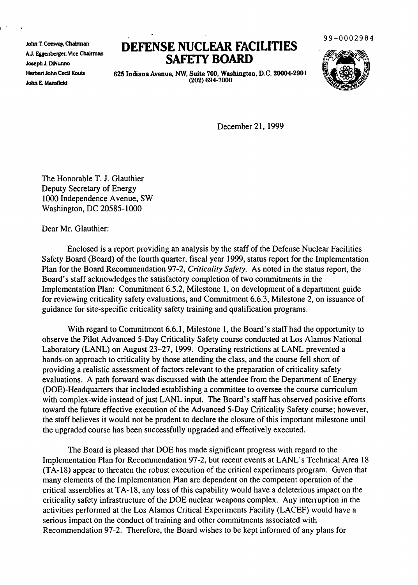John T. Conway, ChaIrman A.J. Eggenberger, Vice Chairman Joseph J. D1Nunno Herbert John Cecil Kouts John E. Mansfield

## **DEFENSE NUCLEAR FACILITIES SAFElY BOARD**

99-0002984



625 Indiana Avenue, NW, Suite 700, Washington, D.C. 20004-2901 (202) 694-7000

December 21, 1999

The Honorable T. J. Glauthier Deputy Secretary of Energy 1000 Independence Avenue, SW Washington, DC 20585-1000

Dear Mr. Glauthier:

Enclosed is a report providing an analysis by the staff of the Defense Nuclear Facilities Safety Board (Board) of the fourth quarter, fiscal year 1999, status report for the Implementation Plan for the Board Recommendation 97-2, *Criticality Safety.* As noted in the status report, the Board's staff acknowledges the satisfactory completion of two commitments in the Implementation Plan: Commitment 6.5.2, Milestone 1, on development of a department guide for reviewing criticality safety evaluations, and Commitment 6.6.3, Milestone 2, on issuance of guidance for site-specific criticality safety training and qualification programs.

With regard to Commitment 6.6.1, Milestone 1, the Board's staff had the opportunity to observe the Pilot Advanced 5-Day Criticality Safety course conducted at Los Alamos National Laboratory (LANL) on August 23-27, 1999. Operating restrictions at LANL prevented a hands-on approach to criticality by those attending the class, and the course fell short of providing a realistic assessment of factors relevant to the preparation of criticality safety evaluations. A path forward was discussed with the attendee from the Department of Energy (DOE)-Headquarters that included establishing a committee to oversee the course curriculum with complex-wide instead of just LANL input. The Board's staff has observed positive efforts toward the future effective execution of the Advanced 5-Day Criticality Safety course; however, the staff believes it would not be prudent to declare the closure of this important milestone until the upgraded course has been successfully upgraded and effectively executed.

The Board is pleased that DOE has made significant progress with regard to the Implementation Plan for Recommendation 97-2, but recent events at LANL's Technical Area 18 (TA-18) appear to threaten the robust execution of the critical experiments program. Given that many elements of the Implementation Plan are dependent on the competent operation of the critical assemblies at TA-18, any loss of this capability would have a deleterious impact on the criticality safety infrastructure of the DOE nuclear weapons complex. Any interruption in the activities performed at the Los Alamos Critical Experiments Facility (LACEF) would have a serious impact on the conduct of training and other commitments associated with Recommendation 97-2. Therefore, the Board wishes to be kept informed of any plans for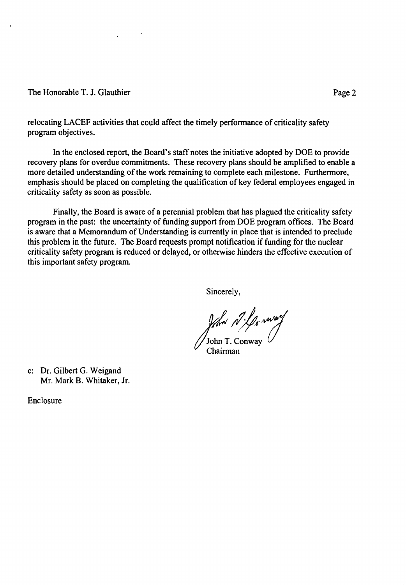## The Honorable T. J. Glauthier

relocating LACEF activities that could affect the timely performance of criticality safety program objectives.

In the enclosed report, the Board's staff notes the initiative adopted by DOE to provide recovery plans for overdue commitments. These recovery plans should be amplified to enable a more detailed understanding of the work remaining to complete each milestone. Furthermore, emphasis should be placed on completing the qualification of key federal employees engaged in criticality safety as soon as possible.

Finally, the Board is aware of a perennial problem that has plagued the criticality safety program in the past: the uncertainty of funding support from DOE program offices. The Board is aware that a Memorandum of Understanding is currently in place that is intended to preclude this problem in the future. The Board requests prompt notification if funding for the nuclear criticality safety program is reduced or delayed, or otherwise hinders the effective execution of this important safety program.

Sincerely,

for *M. Je worf*<br>John T. Conway

Chairman

c: Dr. Gilbert G. Weigand Mr. Mark B. Whitaker, Jr.

Enclosure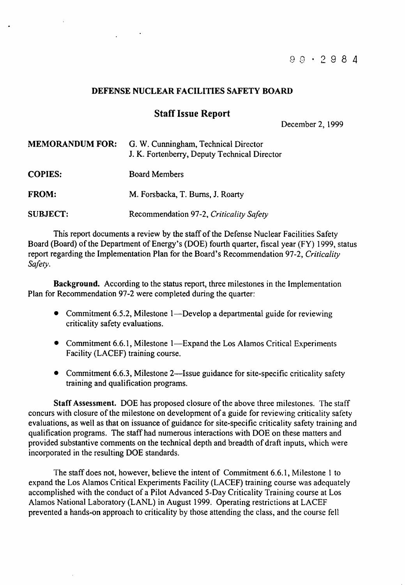## DEFENSE NUCLEAR FACILITIES SAFETY BOARD

## Staff Issue Report

December 2, 1999

| <b>MEMORANDUM FOR:</b> | G. W. Cunningham, Technical Director<br>J. K. Fortenberry, Deputy Technical Director |
|------------------------|--------------------------------------------------------------------------------------|
| <b>COPIES:</b>         | <b>Board Members</b>                                                                 |
| <b>FROM:</b>           | M. Forsbacka, T. Burns, J. Roarty                                                    |
| <b>SUBJECT:</b>        | Recommendation 97-2, Criticality Safety                                              |

This report documents a review by the staff of the Defense Nuclear Facilities Safety Board (Board) of the Department of Energy's (DOE) fourth quarter, fiscal year (FY) 1999, status report regarding the Implementation Plan for the Board's Recommendation 97-2, *Criticality Safety.*

Background. According to the status report, three milestones in the Implementation Plan for Recommendation 97-2 were completed during the quarter:

- Commitment 6.5.2, Milestone 1—Develop a departmental guide for reviewing criticality safety evaluations.
- Commitment 6.6.1, Milestone 1—Expand the Los Alamos Critical Experiments Facility (LACEF) training course.
- Commitment 6.6.3, Milestone 2—Issue guidance for site-specific criticality safety training and qualification programs.

Staff Assessment. DOE has proposed closure of the above three milestones. The staff concurs with closure of the milestone on development of a guide for reviewing criticality safety evaluations, as well as that on issuance of guidance for site-specific criticality safety training and qualification programs. The staff had numerous interactions with DOE on these matters and provided substantive comments on the technical depth and breadth of draft inputs, which were incorporated in the resulting DOE standards.

The staff does not, however, believe the intent of Commitment 6.6.1, Milestone 1 to expand the Los Alamos Critical Experiments Facility (LACEF) training course was adequately accomplished with the conduct of a Pilot Advanced 5-Day Criticality Training course at Los Alamos National Laboratory (LANL) in August 1999. Operating restrictions at LACEF prevented a hands-on approach to criticality by those attending the class, and the course fell